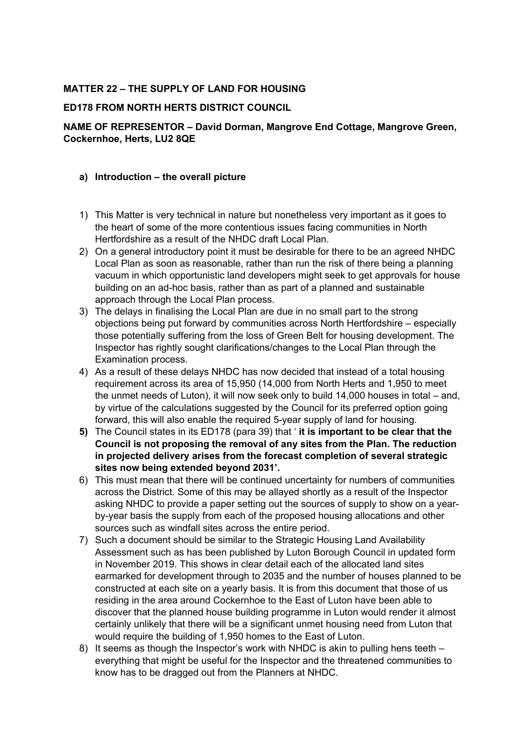# **MATTER 22 – THE SUPPLY OF LAND FOR HOUSING**

#### **ED178 FROM NORTH HERTS DISTRICT COUNCIL**

# **NAME OF REPRESENTOR – David Dorman, Mangrove End Cottage, Mangrove Green, Cockernhoe, Herts, LU2 8QE**

#### **a) Introduction – the overall picture**

- 1) This Matter is very technical in nature but nonetheless very important as it goes to the heart of some of the more contentious issues facing communities in North Hertfordshire as a result of the NHDC draft Local Plan.
- 2) On a general introductory point it must be desirable for there to be an agreed NHDC Local Plan as soon as reasonable, rather than run the risk of there being a planning vacuum in which opportunistic land developers might seek to get approvals for house building on an ad-hoc basis, rather than as part of a planned and sustainable approach through the Local Plan process.
- 3) The delays in finalising the Local Plan are due in no small part to the strong objections being put forward by communities across North Hertfordshire – especially those potentially suffering from the loss of Green Belt for housing development. The Inspector has rightly sought clarifications/changes to the Local Plan through the Examination process.
- 4) As a result of these delays NHDC has now decided that instead of a total housing requirement across its area of 15,950 (14,000 from North Herts and 1,950 to meet the unmet needs of Luton), it will now seek only to build 14,000 houses in total – and, by virtue of the calculations suggested by the Council for its preferred option going forward, this will also enable the required 5-year supply of land for housing.
- **5)** The Council states in its ED178 (para 39) that ' **it is important to be clear that the Council is not proposing the removal of any sites from the Plan. The reduction in projected delivery arises from the forecast completion of several strategic sites now being extended beyond 2031'.**
- 6) This must mean that there will be continued uncertainty for numbers of communities across the District. Some of this may be allayed shortly as a result of the Inspector asking NHDC to provide a paper setting out the sources of supply to show on a yearby-year basis the supply from each of the proposed housing allocations and other sources such as windfall sites across the entire period.
- 7) Such a document should be similar to the Strategic Housing Land Availability Assessment such as has been published by Luton Borough Council in updated form in November 2019. This shows in clear detail each of the allocated land sites earmarked for development through to 2035 and the number of houses planned to be constructed at each site on a yearly basis. It is from this document that those of us residing in the area around Cockernhoe to the East of Luton have been able to discover that the planned house building programme in Luton would render it almost certainly unlikely that there will be a significant unmet housing need from Luton that would require the building of 1,950 homes to the East of Luton.
- 8) It seems as though the Inspector's work with NHDC is akin to pulling hens teeth everything that might be useful for the Inspector and the threatened communities to know has to be dragged out from the Planners at NHDC.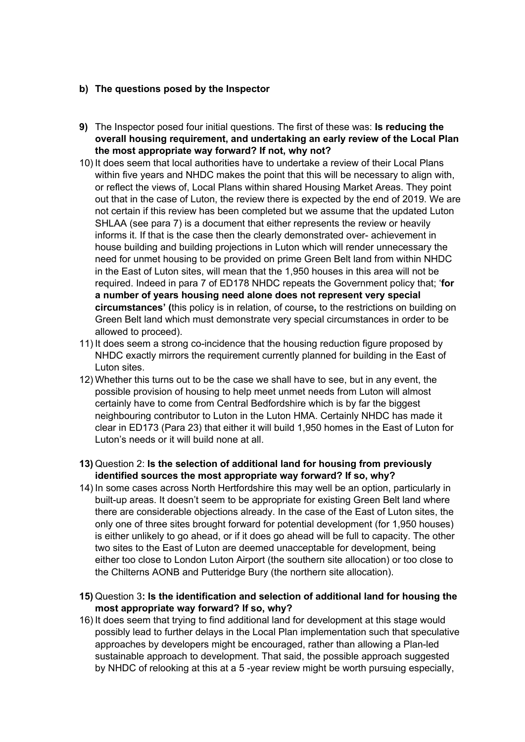### **b) The questions posed by the Inspector**

- **9)** The Inspector posed four initial questions. The first of these was: **Is reducing the overall housing requirement, and undertaking an early review of the Local Plan the most appropriate way forward? If not, why not?**
- 10) It does seem that local authorities have to undertake a review of their Local Plans within five years and NHDC makes the point that this will be necessary to align with, or reflect the views of, Local Plans within shared Housing Market Areas. They point out that in the case of Luton, the review there is expected by the end of 2019. We are not certain if this review has been completed but we assume that the updated Luton SHLAA (see para 7) is a document that either represents the review or heavily informs it. If that is the case then the clearly demonstrated over- achievement in house building and building projections in Luton which will render unnecessary the need for unmet housing to be provided on prime Green Belt land from within NHDC in the East of Luton sites, will mean that the 1,950 houses in this area will not be required. Indeed in para 7 of ED178 NHDC repeats the Government policy that; '**for a number of years housing need alone does not represent very special circumstances' (**this policy is in relation, of course**,** to the restrictions on building on Green Belt land which must demonstrate very special circumstances in order to be allowed to proceed).
- 11) It does seem a strong co-incidence that the housing reduction figure proposed by NHDC exactly mirrors the requirement currently planned for building in the East of Luton sites.
- 12) Whether this turns out to be the case we shall have to see, but in any event, the possible provision of housing to help meet unmet needs from Luton will almost certainly have to come from Central Bedfordshire which is by far the biggest neighbouring contributor to Luton in the Luton HMA. Certainly NHDC has made it clear in ED173 (Para 23) that either it will build 1,950 homes in the East of Luton for Luton's needs or it will build none at all.
- **13)** Question 2: **Is the selection of additional land for housing from previously identified sources the most appropriate way forward? If so, why?**
- 14) In some cases across North Hertfordshire this may well be an option, particularly in built-up areas. It doesn't seem to be appropriate for existing Green Belt land where there are considerable objections already. In the case of the East of Luton sites, the only one of three sites brought forward for potential development (for 1,950 houses) is either unlikely to go ahead, or if it does go ahead will be full to capacity. The other two sites to the East of Luton are deemed unacceptable for development, being either too close to London Luton Airport (the southern site allocation) or too close to the Chilterns AONB and Putteridge Bury (the northern site allocation).
- **15)** Question 3**: Is the identification and selection of additional land for housing the most appropriate way forward? If so, why?**
- 16) It does seem that trying to find additional land for development at this stage would possibly lead to further delays in the Local Plan implementation such that speculative approaches by developers might be encouraged, rather than allowing a Plan-led sustainable approach to development. That said, the possible approach suggested by NHDC of relooking at this at a 5 -year review might be worth pursuing especially,